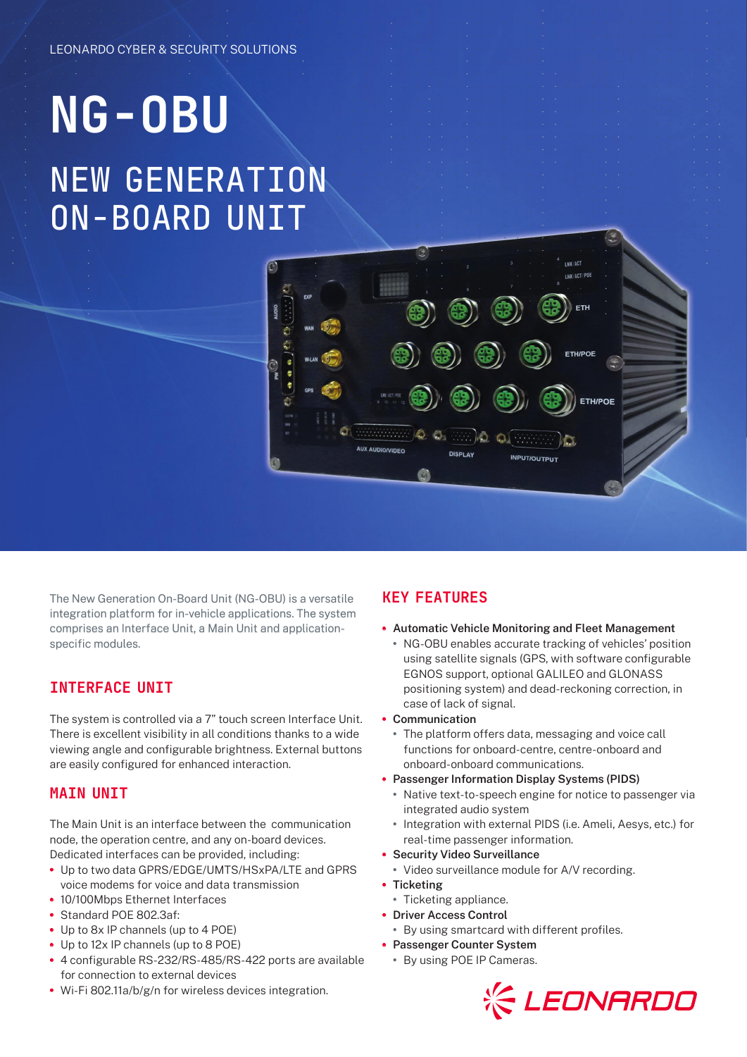# **NG-OBU** NEW GENERATION ON-BOARD UNIT



The New Generation On-Board Unit (NG-OBU) is a versatile integration platform for in-vehicle applications. The system comprises an Interface Unit, a Main Unit and applicationspecific modules.

### INTERFACE UNIT

The system is controlled via a 7" touch screen Interface Unit. There is excellent visibility in all conditions thanks to a wide viewing angle and configurable brightness. External buttons are easily configured for enhanced interaction.

#### MAIN UNIT

The Main Unit is an interface between the communication node, the operation centre, and any on-board devices. Dedicated interfaces can be provided, including:

- **•** Up to two data GPRS/EDGE/UMTS/HSxPA/LTE and GPRS voice modems for voice and data transmission
- **•** 10/100Mbps Ethernet Interfaces
- **•** Standard POE 802.3af:
- **•** Up to 8x IP channels (up to 4 POE)
- **•** Up to 12x IP channels (up to 8 POE)
- **•** 4 configurable RS-232/RS-485/RS-422 ports are available for connection to external devices
- **•** Wi-Fi 802.11a/b/g/n for wireless devices integration.

## KEY FEATURES

- **• Automatic Vehicle Monitoring and Fleet Management**
	- **•** NG-OBU enables accurate tracking of vehicles' position using satellite signals (GPS, with software configurable EGNOS support, optional GALILEO and GLONASS positioning system) and dead-reckoning correction, in case of lack of signal.
- **• Communication**
	- **•** The platform offers data, messaging and voice call functions for onboard-centre, centre-onboard and onboard-onboard communications.
- **• Passenger Information Display Systems (PIDS)**
	- **•** Native text-to-speech engine for notice to passenger via integrated audio system
	- **•** Integration with external PIDS (i.e. Ameli, Aesys, etc.) for real-time passenger information.
- **• Security Video Surveillance**
- **•** Video surveillance module for A/V recording.
- **• Ticketing**
- **•** Ticketing appliance.
- **• Driver Access Control**
	- **•** By using smartcard with different profiles.
- **• Passenger Counter System**
	- **•** By using POE IP Cameras.